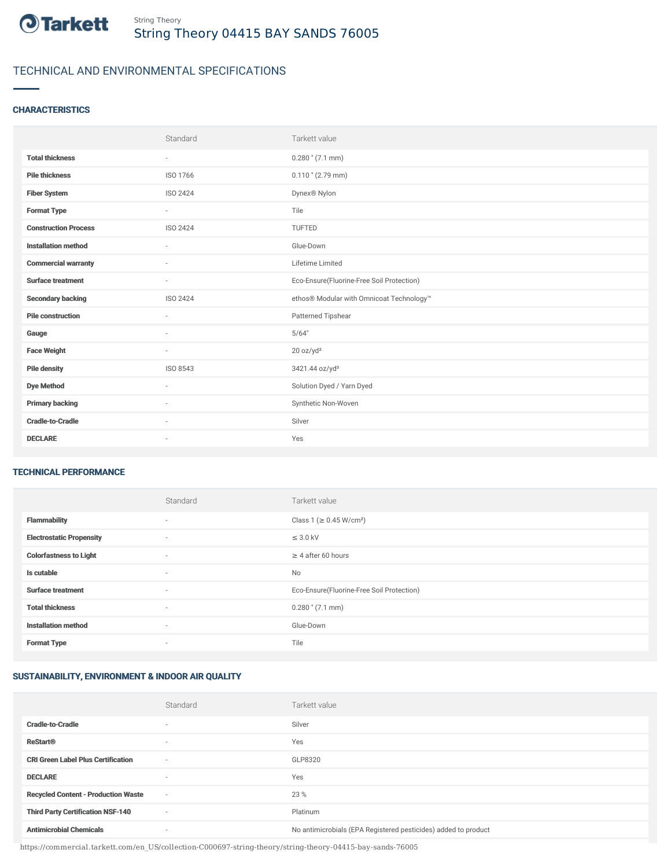

# TECHNICAL AND ENVIRONMENTAL SPECIFICATIONS

# **CHARACTERISTICS**

|                             | Standard                 | Tarkett value                             |
|-----------------------------|--------------------------|-------------------------------------------|
| <b>Total thickness</b>      | $\sim$                   | $0.280$ " (7.1 mm)                        |
| <b>Pile thickness</b>       | ISO 1766                 | $0.110$ " (2.79 mm)                       |
| <b>Fiber System</b>         | ISO 2424                 | Dynex <sup>®</sup> Nylon                  |
| <b>Format Type</b>          | $\sim$                   | Tile                                      |
| <b>Construction Process</b> | <b>ISO 2424</b>          | <b>TUFTED</b>                             |
| <b>Installation method</b>  | $\overline{\phantom{a}}$ | Glue-Down                                 |
| <b>Commercial warranty</b>  |                          | Lifetime Limited                          |
| <b>Surface treatment</b>    | $\sim$                   | Eco-Ensure(Fluorine-Free Soil Protection) |
| <b>Secondary backing</b>    | ISO 2424                 | ethos® Modular with Omnicoat Technology™  |
| <b>Pile construction</b>    |                          | Patterned Tipshear                        |
| Gauge                       | ٠                        | 5/64"                                     |
| <b>Face Weight</b>          | $\sim$                   | 20 oz/yd <sup>2</sup>                     |
| <b>Pile density</b>         | ISO 8543                 | 3421.44 oz/yd <sup>3</sup>                |
| <b>Dye Method</b>           | $\sim$                   | Solution Dyed / Yarn Dyed                 |
| <b>Primary backing</b>      | $\sim$                   | Synthetic Non-Woven                       |
| <b>Cradle-to-Cradle</b>     | $\overline{\phantom{a}}$ | Silver                                    |
| <b>DECLARE</b>              | $\sim$                   | Yes                                       |

#### TECHNICAL PERFORMANCE

|                                 | Standard                 | Tarkett value                             |
|---------------------------------|--------------------------|-------------------------------------------|
| <b>Flammability</b>             | $\overline{\phantom{a}}$ | Class 1 (≥ 0.45 W/cm <sup>2</sup> )       |
| <b>Electrostatic Propensity</b> | $\sim$                   | $\leq$ 3.0 kV                             |
| <b>Colorfastness to Light</b>   | $\overline{\phantom{a}}$ | $\geq$ 4 after 60 hours                   |
| Is cutable                      | $\overline{\phantom{a}}$ | <b>No</b>                                 |
| <b>Surface treatment</b>        | $\sim$                   | Eco-Ensure(Fluorine-Free Soil Protection) |
| <b>Total thickness</b>          | $\overline{\phantom{a}}$ | $0.280$ " (7.1 mm)                        |
| <b>Installation method</b>      | $\overline{\phantom{a}}$ | Glue-Down                                 |
| <b>Format Type</b>              | $\overline{\phantom{a}}$ | Tile                                      |

## SUSTAINABILITY, ENVIRONMENT & INDOOR AIR QUALITY

|                                            | Standard                 | Tarkett value                                                  |
|--------------------------------------------|--------------------------|----------------------------------------------------------------|
| <b>Cradle-to-Cradle</b>                    |                          | Silver                                                         |
| <b>ReStart®</b>                            | $\overline{\phantom{a}}$ | Yes                                                            |
| <b>CRI Green Label Plus Certification</b>  | $\overline{\phantom{a}}$ | GLP8320                                                        |
| <b>DECLARE</b>                             | $\overline{\phantom{a}}$ | Yes                                                            |
| <b>Recycled Content - Production Waste</b> | $\sim$                   | 23 %                                                           |
| <b>Third Party Certification NSF-140</b>   | $\overline{\phantom{a}}$ | Platinum                                                       |
| <b>Antimicrobial Chemicals</b>             | ۰                        | No antimicrobials (EPA Registered pesticides) added to product |

https://commercial.tarkett.com/en\_US/collection-C000697-string-theory/string-theory-04415-bay-sands-76005